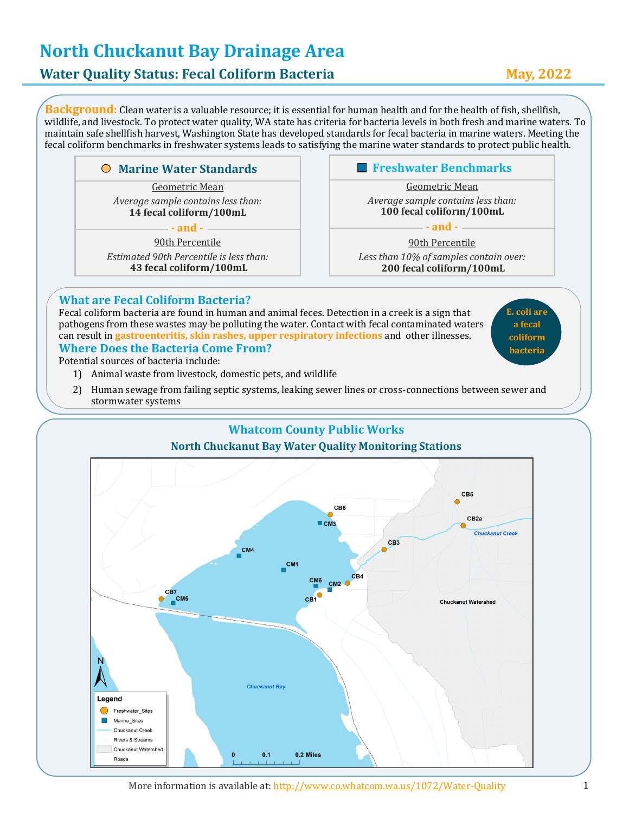# **North Chuckanut Bay Drainage Area**

### **Water Quality Status: Fecal Coliform Bacteria May, 2022**

**Background:** Clean water is a valuable resource; it is essential for human health and for the health of fish, shellfish, wildlife, and livestock. To protect water quality, WA state has criteria for bacteria levels in both fresh and marine waters. To maintain safe shellfish harvest, Washington State has developed standards for fecal bacteria in marine waters. Meeting the fecal coliform benchmarks in freshwater systems leads to satisfying the marine water standards to protect public health.

#### **Marine Water Standards**

Geometric Mean *Average sample contains less than:* **14 fecal coliform/100mL**

**- and -**

90th Percentile

*Estimated 90th Percentile is less than:*  **43 fecal coliform/100mL**

#### **Freshwater Benchmarks**

Geometric Mean *Average sample contains less than:* **100 fecal coliform/100mL**

90th Percentile *Less than 10% of samples contain over:*  **200 fecal coliform/100mL**

**- and -**

#### **What are Fecal Coliform Bacteria?**

Fecal coliform bacteria are found in human and animal feces. Detection in a creek is a sign that pathogens from these wastes may be polluting the water. Contact with fecal contaminated waters can result in **gastroenteritis, skin rashes, upper respiratory infections** and other illnesses.

**E. coli are a fecal coliform bacteria**

#### **Where Does the Bacteria Come From?**

Potential sources of bacteria include:

- 1) Animal waste from livestock, domestic pets, and wildlife
- 2) Human sewage from failing septic systems, leaking sewer lines or cross-connections between sewer and stormwater systems

#### **Whatcom County Public Works North Chuckanut Bay Water Quality Monitoring Stations**

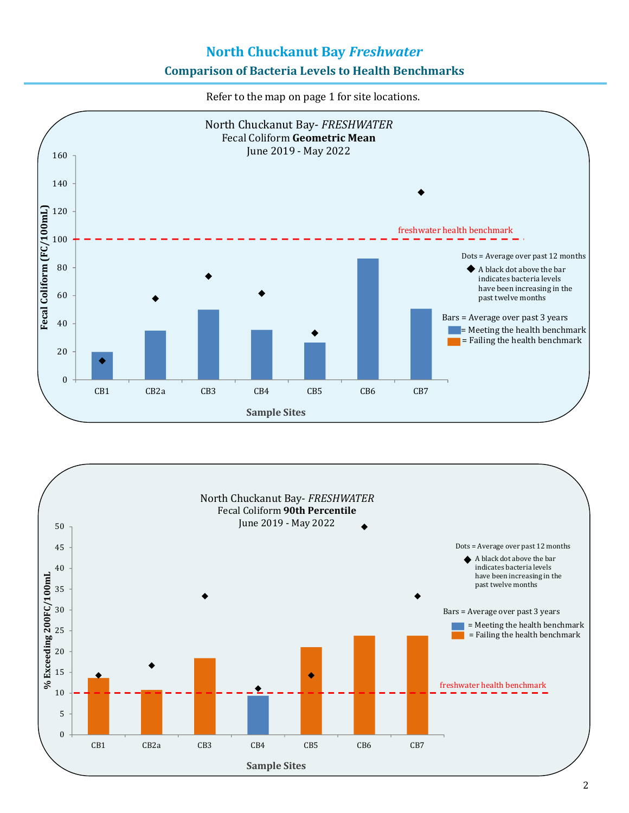## **North Chuckanut Bay** *Freshwater* **Comparison of Bacteria Levels to Health Benchmarks**

Refer to the map on page 1 for site locations.



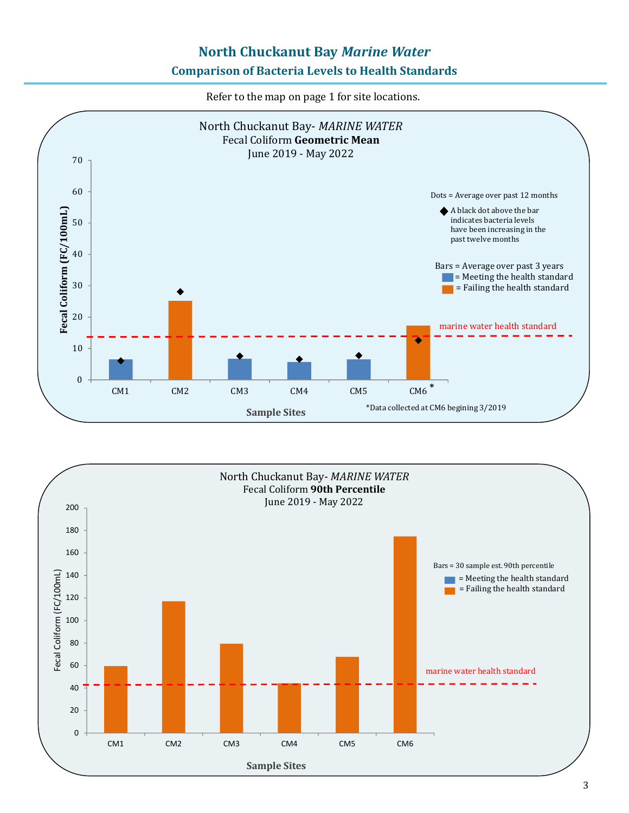### **North Chuckanut Bay** *Marine Water* **Comparison of Bacteria Levels to Health Standards**

Refer to the map on page 1 for site locations.